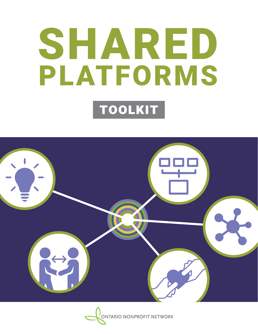# SHARED PLATFORMS toolkit



ONTARIO NONPROFIT NETWORK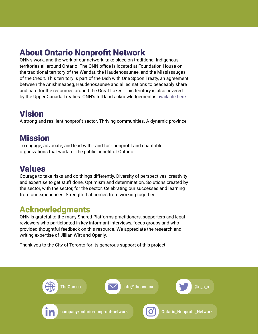## About Ontario Nonprofit Network

ONN's work, and the work of our network, take place on traditional Indigenous territories all around Ontario. The ONN office is located at Foundation House on the traditional territory of the Wendat, the Haudenosaunee, and the Mississaugas of the Credit. This territory is part of the Dish with One Spoon Treaty, an agreement between the Anishinaabeg, Haudenosaunee and allied nations to peaceably share and care for the resources around the Great Lakes. This territory is also covered by the Upper Canada Treaties. ONN's full land acknowledgement is [available here.](https://theonn.ca/onns-land-acknowledgement/)

### Vision

A strong and resilient nonprofit sector. Thriving communities. A dynamic province

### **Mission**

To engage, advocate, and lead with - and for - nonprofit and charitable organizations that work for the public benefit of Ontario.

### Values

Courage to take risks and do things differently. Diversity of perspectives, creativity and expertise to get stuff done. Optimism and determination. Solutions created by the sector, with the sector, for the sector. Celebrating our successes and learning from our experiences. Strength that comes from working together.

### Acknowledgments

ONN is grateful to the many Shared Platforms practitioners, supporters and legal reviewers who participated in key informant interviews, focus groups and who provided thoughtful feedback on this resource. We appreciate the research and writing expertise of Jillian Witt and Openly.

Thank you to the City of Toronto for its generous support of this project.

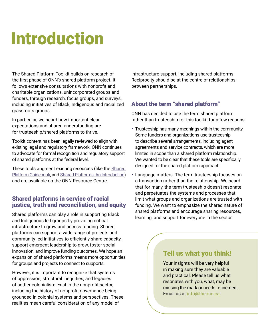## Introduction

The Shared Platform Toolkit builds on research of the first phase of ONN's shared platform project. It follows extensive consultations with nonprofit and charitable organizations, unincorporated groups and funders, through research, focus groups, and surveys, including initiatives of Black, Indigenous and racialized grassroots groups.

In particular, we heard how important clear expectations and shared understanding are for trusteeship/shared platforms to thrive.

Toolkit content has been legally reviewed to align with existing legal and regulatory framework. ONN continues to advocate for formal recognition and regulatory support of shared platforms at the federal level.

These tools augment existing resources (like the Shared [Platform Guidebook,](https://theonn.ca/wp-content/uploads/2016/03/ONN_Shared_Platform_Guidebook.pdf) and [Shared Platforms: An Introduction](https://theonn.ca/wp-content/uploads/2021/01/Shared-platforms_-An-introduction-1.pdf)) and are available on the ONN Resource Centre.

### Shared platforms in service of racial justice, truth and reconciliation, and equity

Shared platforms can play a role in supporting Black and Indigenous-led groups by providing critical infrastructure to grow and access funding. Shared platforms can support a wide range of projects and community-led initiatives to efficiently share capacity, support emergent leadership to grow, foster social innovation, and improve funding outcomes. We hope an expansion of shared platforms means more opportunities for groups and projects to connect to supports.

However, it is important to recognize that systems of oppression, structural inequities, and legacies of settler colonialism exist in the nonprofit sector, including the history of nonprofit governance being grounded in colonial systems and perspectives. These realities mean careful consideration of any model of

infrastructure support, including shared platforms. Reciprocity should be at the centre of relationships between partnerships.

### About the term "shared platform"

ONN has decided to use the term shared platform rather than trusteeship for this toolkit for a few reasons:

- Trusteeship has many meanings within the community. Some funders and organizations use trusteeship to describe several arrangements, including agent agreements and service contracts, which are more limited in scope than a shared platform relationship. We wanted to be clear that these tools are specifically designed for the shared platform approach.
- Language matters. The term trusteeship focuses on a transaction rather than the relationship. We heard that for many, the term trusteeship doesn't resonate and perpetuates the systems and processes that limit what groups and organizations are trusted with funding. We want to emphasize the shared nature of shared platforms and encourage sharing resources, learning, and support for everyone in the sector.

### Tell us what you think!

Your insights will be very helpful in making sure they are valuable and practical. Please tell us what resonates with you, what, may be missing the mark or needs refinement. Email us at [info@theonn.ca](mailto:info@theonn.ca).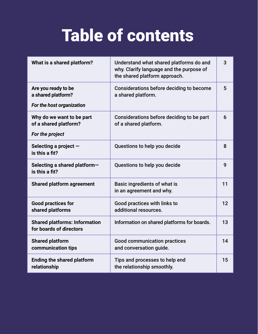## Table of contents

| What is a shared platform?                                             | Understand what shared platforms do and<br>why. Clarify language and the purpose of<br>the shared platform approach. | 3  |
|------------------------------------------------------------------------|----------------------------------------------------------------------------------------------------------------------|----|
| Are you ready to be<br>a shared platform?<br>For the host organization | Considerations before deciding to become<br>a shared platform.                                                       | 5  |
| Why do we want to be part<br>of a shared platform?<br>For the project  | Considerations before deciding to be part<br>of a shared platform.                                                   | 6  |
| Selecting a project -<br>is this a fit?                                | Questions to help you decide                                                                                         | 8  |
| Selecting a shared platform-<br>is this a fit?                         | Questions to help you decide                                                                                         | 9  |
| <b>Shared platform agreement</b>                                       | Basic ingredients of what is<br>in an agreement and why.                                                             | 11 |
| <b>Good practices for</b><br>shared platforms                          | Good practices with links to<br>additional resources.                                                                | 12 |
| <b>Shared platforms: Information</b><br>for boards of directors        | Information on shared platforms for boards.                                                                          | 13 |
| <b>Shared platform</b><br>communication tips                           | <b>Good communication practices</b><br>and conversation guide.                                                       | 14 |
| <b>Ending the shared platform</b><br>relationship                      | Tips and processes to help end<br>the relationship smoothly.                                                         | 15 |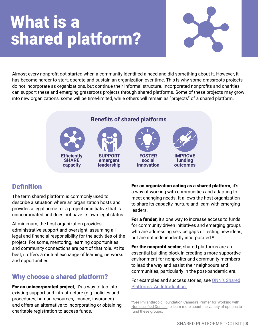## What is a shared platform?



Almost every nonprofit got started when a community identified a need and did something about it. However, it has become harder to start, operate and sustain an organization over time. This is why some grassroots projects do not incorporate as organizations, but continue their informal structure. Incorporated nonprofits and charities can support these and emerging grassroots projects through shared platforms. Some of these projects may grow into new organizations, some will be time-limited, while others will remain as "projects" of a shared platform.

### **Benefits of shared platforms**









### Definition

The term shared platform is commonly used to describe a situation where an organization hosts and provides a legal home for a project or initiative that is unincorporated and does not have its own legal status.

At minimum, the host organization provides administrative support and oversight, assuming all legal and financial responsibility for the activities of the project. For some, mentoring, learning opportunities and community connections are part of that role. At its best, it offers a mutual exchange of learning, networks and opportunities.

### Why choose a shared platform?

For an unincorporated project, it's a way to tap into existing support and infrastructure (e.g. policies and procedures, human resources, finance, insurance) and offers an alternative to incorporating or obtaining charitable registration to access funds.

For an organization acting as a shared platform, it's a way of working with communities and adapting to meet changing needs. It allows the host organization to share its capacity, nurture and learn with emerging leaders.

**For a funder,** it's one way to increase access to funds for community driven initiatives and emerging groups who are addressing service gaps or testing new ideas, but are not independently incorporated.\*

For the nonprofit sector, shared platforms are an essential building block in creating a more supportive environment for nonprofits and community members to lead the way and assist their neighbours and communities, particularly in the post-pandemic era.

For examples and success stories, see [ONN's Shared](https://theonn.ca/wp-content/uploads/2021/01/Shared-platforms_-An-introduction-1.pdf) [Platforms: An Introduction.](https://theonn.ca/wp-content/uploads/2021/01/Shared-platforms_-An-introduction-1.pdf)

<sup>\*</sup>See [Philanthropic Foundation Canada's Primer for Working with](https://pfc.ca/wp-content/uploads/2020/09/pfc-primer-working-with-non-qualified-donees_sept2020.pdf)  [Non-qualified Donees](https://pfc.ca/wp-content/uploads/2020/09/pfc-primer-working-with-non-qualified-donees_sept2020.pdf) to learn more about the variety of options to fund these groups.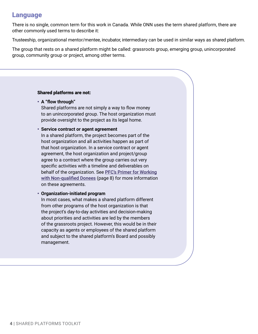### Language

There is no single, common term for this work in Canada. While ONN uses the term shared platform, there are other commonly used terms to describe it:

Trusteeship, organizational mentor/mentee, incubator, intermediary can be used in similar ways as shared platform.

The group that rests on a shared platform might be called: grassroots group, emerging group, unincorporated group, community group or project, among other terms.

#### Shared platforms are not:

#### • **A "flow through"**

Shared platforms are not simply a way to flow money to an unincorporated group. The host organization must provide oversight to the project as its legal home.

#### • **Service contract or agent agreement**

In a shared platform, the project becomes part of the host organization and all activities happen as part of that host organization. In a service contract or agent agreement, the host organization and project/group agree to a contract where the group carries out very specific activities with a timeline and deliverables on behalf of the organization. See [PFC's Primer for Working](https://pfc.ca/wp-content/uploads/2020/09/pfc-primer-working-with-non-qualified-donees_sept2020.pdf) [with Non-qualified Donees](https://pfc.ca/wp-content/uploads/2020/09/pfc-primer-working-with-non-qualified-donees_sept2020.pdf) (page 8) for more information on these agreements.

#### • **Organization-initiated program**

In most cases, what makes a shared platform different from other programs of the host organization is that the project's day-to-day activities and decision-making about priorities and activities are led by the members of the grassroots project. However, this would be in their capacity as agents or employees of the shared platform and subject to the shared platform's Board and possibly management.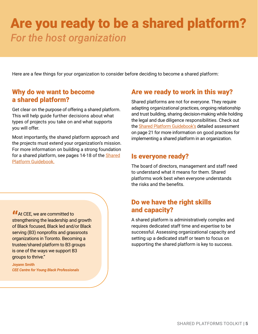## Are you ready to be a shared platform? *For the host organization*

Here are a few things for your organization to consider before deciding to become a shared platform:

### Why do we want to become a shared platform?

Get clear on the purpose of offering a shared platform. This will help guide further decisions about what types of projects you take on and what supports you will offer.

Most importantly, the shared platform approach and the projects must extend your organization's mission. For more information on building a strong foundation for a shared platform, see pages 14-18 of the [Shared](https://theonn.ca/wp-content/uploads/2016/03/ONN_Shared_Platform_Guidebook.pdf) [Platform Guidebook.](https://theonn.ca/wp-content/uploads/2016/03/ONN_Shared_Platform_Guidebook.pdf)

### Are we ready to work in this way?

Shared platforms are not for everyone. They require adapting organizational practices, ongoing relationship and trust building, sharing decision-making while holding the legal and due diligence responsibilities. Check out the [Shared Platform Guidebook's](https://theonn.ca/wp-content/uploads/2016/03/ONN_Shared_Platform_Guidebook.pdf) detailed assessment on page 21 for more information on good practices for implementing a shared platform in an organization.

### Is everyone ready?

The board of directors, management and staff need to understand what it means for them. Shared platforms work best when everyone understands the risks and the benefits.

### Do we have the right skills and capacity?

A shared platform is administratively complex and requires dedicated staff time and expertise to be successful. Assessing organizational capacity and setting up a dedicated staff or team to focus on supporting the shared platform is key to success.

At CEE, we are committed to<br>
strengthening the leadership and strengthening the leadership and growth of Black focused, Black led and/or Black serving (B3) nonprofits and grassroots organizations in Toronto. Becoming a trustee/shared platform to B3 groups is one of the ways we support B3 groups to thrive."

**Joyann Smith** *CEE Centre for Young Black Professionals*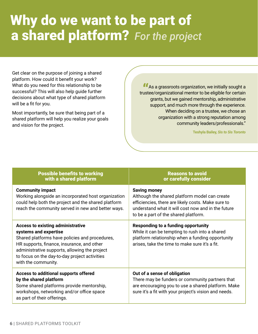## Why do we want to be part of a shared platform? *For the project*

Get clear on the purpose of joining a shared platform. How could it benefit your work? What do you need for this relationship to be successful? This will also help guide further decisions about what type of shared platform will be a fit for you.

Most importantly, be sure that being part of a shared platform will help you realize your goals and vision for the project.

**<sup>1</sup>** As a grassroots organization, we initially sought a ustee/organizational mentor to be eligible for certain trustee/organizational mentor to be eligible for certain grants, but we gained mentorship, administrative support, and much more through the experience. When deciding on a trustee, we chose an organization with a strong reputation among community leaders/professionals."

**Teshyla Bailey,** *Sis to Sis Toronto*

| <b>Possible benefits to working</b><br>with a shared platform                                                                                                                                                                                                                              | <b>Reasons to avoid</b><br>or carefully consider                                                                                                                                                                         |  |
|--------------------------------------------------------------------------------------------------------------------------------------------------------------------------------------------------------------------------------------------------------------------------------------------|--------------------------------------------------------------------------------------------------------------------------------------------------------------------------------------------------------------------------|--|
| <b>Community impact</b><br>Working alongside an incorporated host organization<br>could help both the project and the shared platform<br>reach the community served in new and better ways.                                                                                                | <b>Saving money</b><br>Although the shared platform model can create<br>efficiencies, there are likely costs. Make sure to<br>understand what it will cost now and in the future<br>to be a part of the shared platform. |  |
| <b>Access to existing administrative</b><br>systems and expertise<br>Shared platforms have policies and procedures,<br>HR supports, finance, insurance, and other<br>administrative supports, allowing the project<br>to focus on the day-to-day project activities<br>with the community. | <b>Responding to a funding opportunity</b><br>While it can be tempting to rush into a shared<br>platform relationship when a funding opportunity<br>arises, take the time to make sure it's a fit.                       |  |
| Access to additional supports offered<br>by the shared platform<br>Some shared platforms provide mentorship,<br>workshops, networking and/or office space<br>as part of their offerings.                                                                                                   | Out of a sense of obligation<br>There may be funders or community partners that<br>are encouraging you to use a shared platform. Make<br>sure it's a fit with your project's vision and needs.                           |  |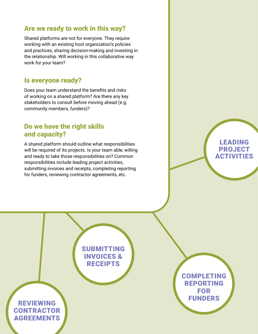### Are we ready to work in this way?

Shared platforms are not for everyone. They require working with an existing host organization's policies and practices, sharing decision-making and investing in the relationship. Will working in this collaborative way work for your team?

### Is everyone ready?

Does your team understand the benefits and risks of working on a shared platform? Are there any key stakeholders to consult before moving ahead (e.g. community members, funders)?

### Do we have the right skills and capacity?

A shared platform should outline what responsibilities will be required of its projects. Is your team able, willing and ready to take those responsibilities on? Common responsibilities include leading project activities, submitting invoices and receipts, completing reporting for funders, reviewing contractor agreements, etc.



LEADING PROJECT **ACTIVITIES** 

### SUBMITTING INVOICES & **RECEIPTS**

### $\mathbf{S} = \mathbf{S}$  , shared platforms to the share distribution  $\mathbf{S}$ REVIEWING **CONTRACTOR** AGREEMENTS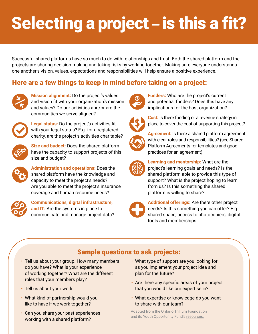## Selecting a project - is this a fit?

Successful shared platforms have so much to do with relationships and trust. Both the shared platform and the projects are sharing decision-making and taking risks by working together. Making sure everyone understands one another's vision, values, expectations and responsibilities will help ensure a positive experience.

### Here are a few things to keep in mind before taking on a project:



**Mission alignment:** Do the project's values and vision fit with your organization's mission and values? Do our activities and/or are the communities we serve aligned?



**Legal status:** Do the project's activities fit with your legal status? E.g. for a registered charity, are the project's activities charitable?



**Size and budget:** Does the shared platform have the capacity to support projects of this size and budget?



**Administration and operations:** Does the shared platform have the knowledge and capacity to meet the project's needs? Are you able to meet the project's insurance coverage and human resource needs?



**Communications, digital infrastructure, and IT:** Are the systems in place to communicate and manage project data?



**Funders:** Who are the project's current and potential funders? Does this have any implications for the host organization?



**Cost:** Is there funding or a revenue strategy in place to cover the cost of supporting this project?



**Agreement:** Is there a shared platform agreement with clear roles and responsibilities? (see Shared Platform Agreements for templates and good practices for an agreement)



**Learning and mentorship:** What are the project's learning goals and needs? Is the shared platform able to provide this type of support? What is the project hoping to learn from us? Is this something the shared platform is willing to share?



**Additional offerings:** Are there other project needs? Is this something you can offer? E.g. shared space, access to photocopiers, digital tools and memberships.

### Sample questions to ask projects:

- Tell us about your group. How many members do you have? What is your experience of working together? What are the different roles that your members play?
- Tell us about your work.
- What kind of partnership would you like to have if we work together?
- 8 | SHARED PLATFORMS TOOLKIT IN 1999 • Can you share your past experiences working with a shared platform?
- What type of support are you looking for as you implement your project idea and plan for the future?
- Are there any specific areas of your project that you would like our expertise in?
- What expertise or knowledge do you want to share with our team?

Adapted from the Ontario Trillium Foundation and its Youth Opportunity Fund's [resources.](https://www.otf.ca/our-grants/youth-opportunities-fund/about-organizational-mentors)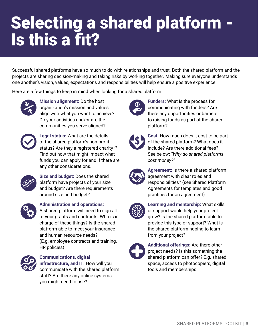## Selecting a shared platform - Is this a fit?

Successful shared platforms have so much to do with relationships and trust. Both the shared platform and the projects are sharing decision-making and taking risks by working together. Making sure everyone understands one another's vision, values, expectations and responsibilities will help ensure a positive experience.

Here are a few things to keep in mind when looking for a shared platform:



**Mission alignment:** Do the host organization's mission and values align with what you want to achieve? Do your activities and/or are the communities you serve aligned?



**Legal status:** What are the details of the shared platform's non-profit status? Are they a registered charity\*? Find out how that might impact what funds you can apply for and if there are any other considerations.



**Size and budget:** Does the shared platform have projects of your size and budget? Are there requirements around size and budget?



**Administration and operations:**

A shared platform will need to sign all of your grants and contracts. Who is in charge of these things? Is the shared platform able to meet your insurance and human resource needs? (E.g. employee contracts and training, HR policies)



### **Communications, digital**

**infrastructure, and IT:** How will you communicate with the shared platform staff? Are there any online systems you might need to use?



**Funders:** What is the process for communicating with funders? Are there any opportunities or barriers to raising funds as part of the shared platform?



**Cost:** How much does it cost to be part of the shared platform? What does it include? Are there additional fees? See below: "*Why do shared platforms cost money?"*



**Agreement:** Is there a shared platform agreement with clear roles and responsibilities? (see Shared Platform Agreements for templates and good practices for an agreement)



**Learning and mentorship:** What skills or support would help your project grow? Is the shared platform able to provide this type of support? What is the shared platform hoping to learn from your project?



**Additional offerings:** Are there other project needs? Is this something the shared platform can offer? E.g. shared space, access to photocopiers, digital tools and memberships.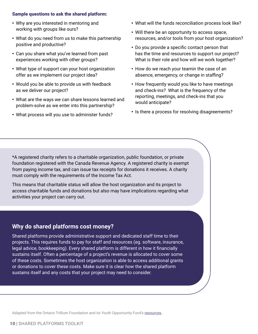#### Sample questions to ask the shared platform:

- Why are you interested in mentoring and working with groups like ours?
- What do you need from us to make this partnership positive and productive?
- Can you share what you've learned from past experiences working with other groups?
- What type of support can your host organization offer as we implement our project idea?
- Would you be able to provide us with feedback as we deliver our project?
- What are the ways we can share lessons learned and problem-solve as we enter into this partnership?
- What process will you use to administer funds?
- What will the funds reconciliation process look like?
- Will there be an opportunity to access space, resources, and/or tools from your host organization?
- Do you provide a specific contact person that has the time and resources to support our project? What is their role and how will we work together?
- How do we reach your teamin the case of an absence, emergency, or change in staffing?
- How frequently would you like to have meetings and check-ins? What is the frequency of the reporting, meetings, and check-ins that you would anticipate?
- Is there a process for resolving disagreements?

\*A registered charity refers to a charitable organization, public foundation, or private foundation registered with the Canada Revenue Agency. A registered charity is exempt from paying income tax, and can issue tax receipts for donations it receives. A charity must comply with the requirements of the Income Tax Act.

This means that charitable status will allow the host organization and its project to access charitable funds and donations but also may have implications regarding what activities your project can carry out.

### **Why do shared platforms cost money?**

Shared platforms provide administrative support and dedicated staff time to their projects. This requires funds to pay for staff and resources (eg. software, insurance, legal advice, bookkeeping). Every shared platform is different in how it financially sustains itself. Often a percentage of a project's revenue is allocated to cover some of these costs. Sometimes the host organization is able to access additional grants or donations to cover these costs. Make sure it is clear how the shared platform sustains itself and any costs that your project may need to consider.

Adapted from the Ontario Trillium Foundation and its Youth Opportunity Fund's [resources.](https://www.otf.ca/our-grants/youth-opportunities-fund/about-organizational-mentors)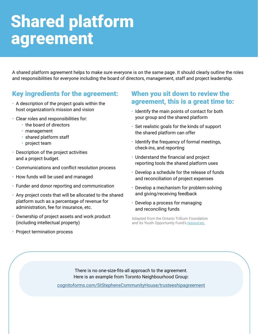## Shared platform agreement

A shared platform agreement helps to make sure everyone is on the same page. It should clearly outline the roles and responsibilities for everyone including the board of directors, management, staff and project leadership.

### Key ingredients for the agreement:

- A description of the project goals within the host organization's mission and vision
- Clear roles and responsibilities for:
	- the board of directors
	- management
	- shared platform staff
	- project team
- Description of the project activities and a project budget.
- Communications and conflict resolution process
- How funds will be used and managed
- Funder and donor reporting and communication
- Any project costs that will be allocated to the shared platform such as a percentage of revenue for administration, fee for insurance, etc.
- Ownership of project assets and work product (including intellectual property)

### When you sit down to review the agreement, this is a great time to:

- Identify the main points of contact for both your group and the shared platform
- Set realistic goals for the kinds of support the shared platform can offer
- Identify the frequency of formal meetings, check-ins, and reporting
- Understand the financial and project reporting tools the shared platform uses
- Develop a schedule for the release of funds and reconciliation of project expenses
- Develop a mechanism for problem-solving and giving/receiving feedback
- Develop a process for managing and reconciling funds

Adapted from the Ontario Trillium Foundation and its Youth Opportunity Fund's [resources.](https://www.otf.ca/our-grants/youth-opportunities-fund/about-organizational-mentors)

• Project termination process

10 | SHARED PLATFORMS TOOLKIT SHARED PLATFORMS TOOLKIT SHARED PLATFORMS TOOLKIT IN SHARED PLATFORMS TOOLKIT IN

There is no one-size-fits-all approach to the agreement. Here is an example from Toronto Neighbourhood Group:

[cognitoforms.com/StStephensCommunityHouse/trusteeshipagreement](https://www.cognitoforms.com/StStephensCommunityHouse/trusteeshipagreement)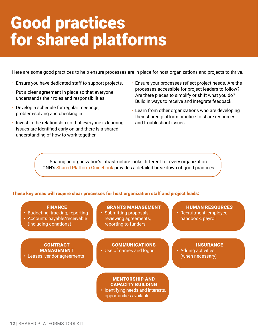## Good practices for shared platforms

Here are some good practices to help ensure processes are in place for host organizations and projects to thrive.

- Ensure you have dedicated staff to support projects.
- Put a clear agreement in place so that everyone understands their roles and responsibilities.
- Develop a schedule for regular meetings, problem-solving and checking in.
- Invest in the relationship so that everyone is learning, issues are identified early on and there is a shared understanding of how to work together.
- Ensure your processes reflect project needs. Are the processes accessible for project leaders to follow? Are there places to simplify or shift what you do? Build in ways to receive and integrate feedback.
- Learn from other organizations who are developing their shared platform practice to share resources and troubleshoot issues.

Sharing an organization's infrastructure looks different for every organization. ONN's [Shared Platform Guidebook](https://theonn.ca/wp-content/uploads/2016/03/ONN_Shared_Platform_Guidebook.pdf) provides a detailed breakdown of good practices.

### These key areas will require clear processes for host organization staff and project leads:

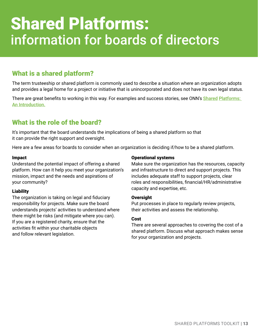## Shared Platforms: information for boards of directors

### What is a shared platform?

The term trusteeship or shared platform is commonly used to describe a situation where an organization adopts and provides a legal home for a project or initiative that is unincorporated and does not have its own legal status.

There are great benefits to working in this way. For examples and success stories, see ONN's Shared Platforms: [An Introduction.](https://theonn.ca/wp-content/uploads/2021/01/Shared-platforms_-An-introduction-1.pdf)

### What is the role of the board?

It's important that the board understands the implications of being a shared platform so that it can provide the right support and oversight.

Here are a few areas for boards to consider when an organization is deciding if/how to be a shared platform.

#### **Impact**

Understand the potential impact of offering a shared platform. How can it help you meet your organization's mission, impact and the needs and aspirations of your community?

#### Liability

The organization is taking on legal and fiduciary responsibility for projects. Make sure the board understands projects' activities to understand where there might be risks (and mitigate where you can). If you are a registered charity, ensure that the activities fit within your charitable objects and follow relevant legislation.

#### Operational systems

Make sure the organization has the resources, capacity and infrastructure to direct and support projects. This includes adequate staff to support projects, clear roles and responsibilities, financial/HR/administrative capacity and expertise, etc.

#### **Oversight**

Put processes in place to regularly review projects, their activities and assess the relationship.

#### Cost

There are several approaches to covering the cost of a shared platform. Discuss what approach makes sense for your organization and projects.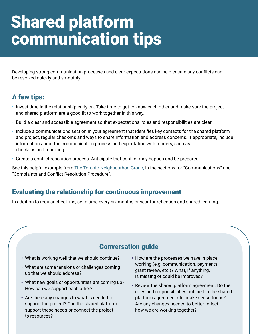## Shared platform communication tips

Developing strong communication processes and clear expectations can help ensure any conflicts can be resolved quickly and smoothly.

### A few tips:

- Invest time in the relationship early on. Take time to get to know each other and make sure the project and shared platform are a good fit to work together in this way.
- Build a clear and accessible agreement so that expectations, roles and responsibilities are clear.
- Include a communications section in your agreement that identifies key contacts for the shared platform and project, regular check-ins and ways to share information and address concerns. If appropriate, include information about the communication process and expectation with funders, such as check-ins and reporting.
- Create a conflict resolution process. Anticipate that conflict may happen and be prepared.

See this helpful example from [The Toronto Neighbourhod Group,](https://www.cognitoforms.com/StStephensCommunityHouse/trusteeshipagreement) in the sections for "Communications" and "Complaints and Conflict Resolution Procedure".

### Evaluating the relationship for continuous improvement

In addition to regular check-ins, set a time every six months or year for reflection and shared learning.

### Conversation guide

- What is working well that we should continue?
- What are some tensions or challenges coming up that we should address?
- What new goals or opportunities are coming up? How can we support each other?
- Are there any changes to what is needed to support the project? Can the shared platform support these needs or connect the project to resources?
- How are the processes we have in place working (e.g. communication, payments, grant review, etc.)? What, if anything, is missing or could be improved?
- Review the shared platform agreement. Do the roles and responsibilities outlined in the shared platform agreement still make sense for us? Are any changes needed to better reflect how we are working together?